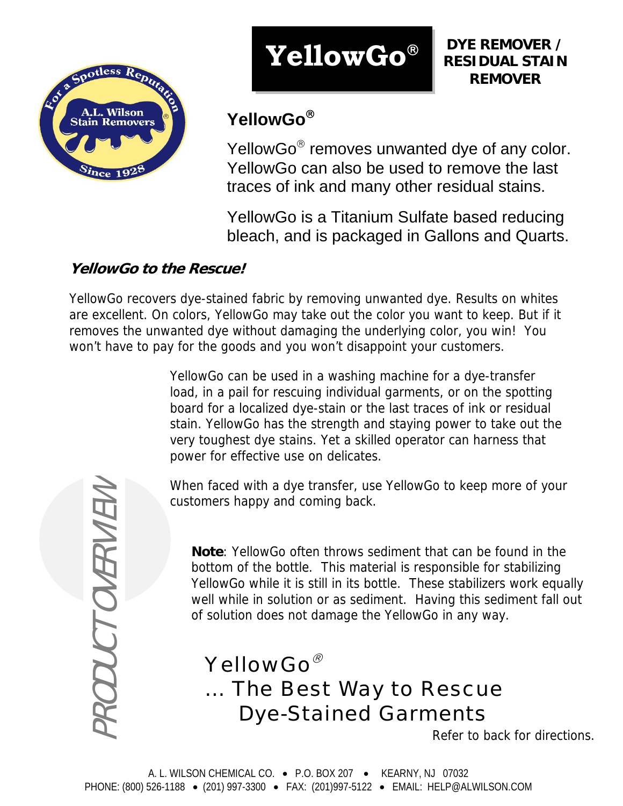

# **YellowGo**®

**DYE REMOVER / RESIDUAL STAIN REMOVER**

## **YellowGo**®

YellowGo<sup>®</sup> removes unwanted dye of any color. YellowGo can also be used to remove the last traces of ink and many other residual stains.

YellowGo is a Titanium Sulfate based reducing bleach, and is packaged in Gallons and Quarts.

### **YellowGo to the Rescue!**

YellowGo recovers dye-stained fabric by removing unwanted dye. Results on whites are excellent. On colors, YellowGo may take out the color you want to keep. But if it removes the unwanted dye without damaging the underlying color, you win! You won't have to pay for the goods and you won't disappoint your customers.

> YellowGo can be used in a washing machine for a dye-transfer load, in a pail for rescuing individual garments, or on the spotting board for a localized dye-stain or the last traces of ink or residual stain. YellowGo has the strength and staying power to take out the very toughest dye stains. Yet a skilled operator can harness that power for effective use on delicates.

When faced with a dye transfer, use YellowGo to keep more of your customers happy and coming back.

**Note**: YellowGo often throws sediment that can be found in the bottom of the bottle. This material is responsible for stabilizing YellowGo while it is still in its bottle. These stabilizers work equally well while in solution or as sediment. Having this sediment fall out of solution does not damage the YellowGo in any way.

*YellowGo*® *… The Best Way to Rescue Dye-Stained Garments*

Refer to back for directions.